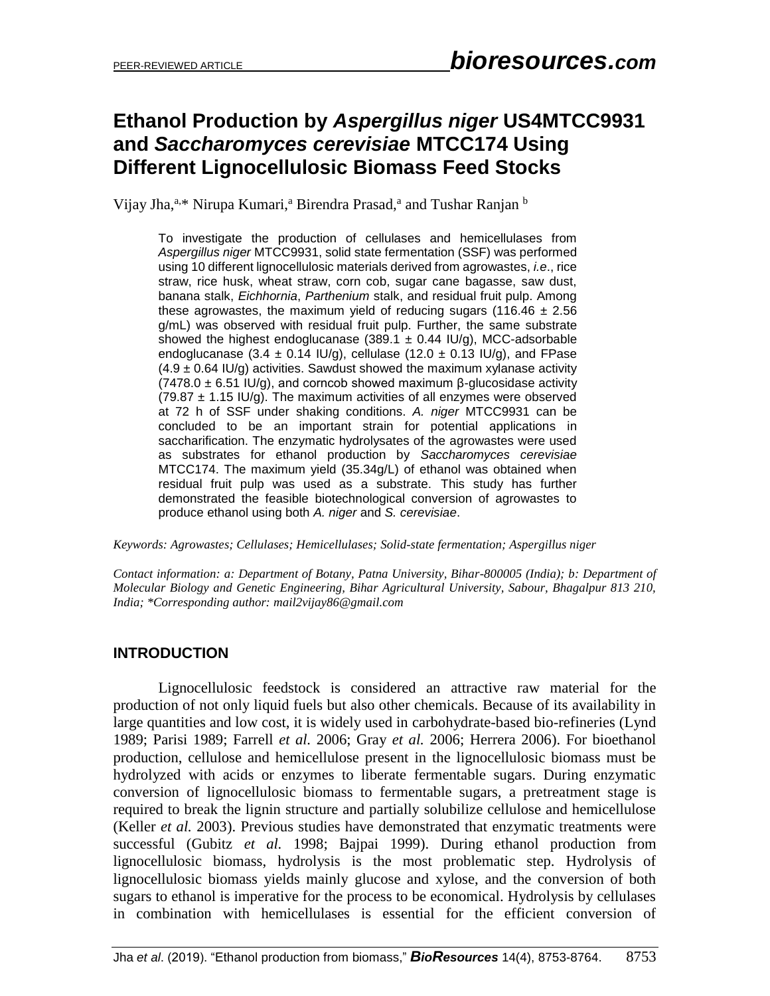# **Ethanol Production by** *Aspergillus niger* **US4MTCC9931 and** *Saccharomyces cerevisiae* **MTCC174 Using Different Lignocellulosic Biomass Feed Stocks**

Vijay Jha,<sup>a,\*</sup> Nirupa Kumari,<sup>a</sup> Birendra Prasad,<sup>a</sup> and Tushar Ranjan b

To investigate the production of cellulases and hemicellulases from *Aspergillus niger* MTCC9931, solid state fermentation (SSF) was performed using 10 different lignocellulosic materials derived from agrowastes, *i.e*., rice straw, rice husk, wheat straw, corn cob, sugar cane bagasse, saw dust, banana stalk, *Eichhornia*, *Parthenium* stalk, and residual fruit pulp. Among these agrowastes, the maximum yield of reducing sugars (116.46  $\pm$  2.56 g/mL) was observed with residual fruit pulp. Further, the same substrate showed the highest endoglucanase (389.1  $\pm$  0.44 IU/g), MCC-adsorbable endoglucanase (3.4  $\pm$  0.14 IU/g), cellulase (12.0  $\pm$  0.13 IU/g), and FPase  $(4.9 \pm 0.64 \text{ IU/g})$  activities. Sawdust showed the maximum xylanase activity (7478.0  $\pm$  6.51 IU/g), and corncob showed maximum β-glucosidase activity (79.87  $\pm$  1.15 IU/g). The maximum activities of all enzymes were observed at 72 h of SSF under shaking conditions. *A. niger* MTCC9931 can be concluded to be an important strain for potential applications in saccharification. The enzymatic hydrolysates of the agrowastes were used as substrates for ethanol production by *Saccharomyces cerevisiae* MTCC174. The maximum yield (35.34g/L) of ethanol was obtained when residual fruit pulp was used as a substrate. This study has further demonstrated the feasible biotechnological conversion of agrowastes to produce ethanol using both *A. niger* and *S. cerevisiae*.

*Keywords: Agrowastes; Cellulases; Hemicellulases; Solid-state fermentation; Aspergillus niger*

*Contact information: a: Department of Botany, Patna University, Bihar-800005 (India); b: Department of Molecular Biology and Genetic Engineering, Bihar Agricultural University, Sabour, Bhagalpur 813 210, India; \*Corresponding author: mail2vijay86@gmail.com*

## **INTRODUCTION**

Lignocellulosic feedstock is considered an attractive raw material for the production of not only liquid fuels but also other chemicals. Because of its availability in large quantities and low cost, it is widely used in carbohydrate-based bio-refineries (Lynd 1989; Parisi 1989; Farrell *et al.* 2006; Gray *et al.* 2006; Herrera 2006). For bioethanol production, cellulose and hemicellulose present in the lignocellulosic biomass must be hydrolyzed with acids or enzymes to liberate fermentable sugars. During enzymatic conversion of lignocellulosic biomass to fermentable sugars, a pretreatment stage is required to break the lignin structure and partially solubilize cellulose and hemicellulose (Keller *et al.* 2003). Previous studies have demonstrated that enzymatic treatments were successful (Gubitz *et al.* 1998; Bajpai 1999). During ethanol production from lignocellulosic biomass, hydrolysis is the most problematic step. Hydrolysis of lignocellulosic biomass yields mainly glucose and xylose, and the conversion of both sugars to ethanol is imperative for the process to be economical. Hydrolysis by cellulases in combination with hemicellulases is essential for the efficient conversion of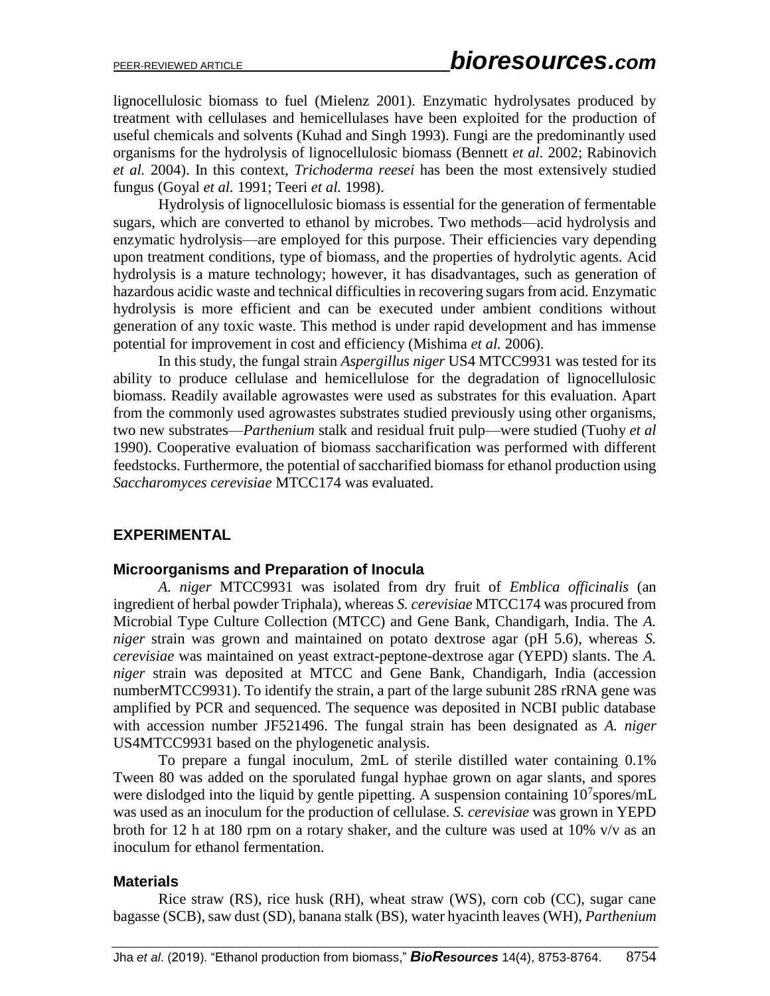lignocellulosic biomass to fuel (Mielenz 2001). Enzymatic hydrolysates produced by treatment with cellulases and hemicellulases have been exploited for the production of useful chemicals and solvents (Kuhad and Singh 1993). Fungi are the predominantly used organisms for the hydrolysis of lignocellulosic biomass (Bennett *et al.* 2002; Rabinovich *et al.* 2004). In this context, *Trichoderma reesei* has been the most extensively studied fungus (Goyal *et al.* 1991; Teeri *et al.* 1998).

Hydrolysis of lignocellulosic biomass is essential for the generation of fermentable sugars, which are converted to ethanol by microbes. Two methods—acid hydrolysis and enzymatic hydrolysis—are employed for this purpose. Their efficiencies vary depending upon treatment conditions, type of biomass, and the properties of hydrolytic agents. Acid hydrolysis is a mature technology; however, it has disadvantages, such as generation of hazardous acidic waste and technical difficulties in recovering sugars from acid. Enzymatic hydrolysis is more efficient and can be executed under ambient conditions without generation of any toxic waste. This method is under rapid development and has immense potential for improvement in cost and efficiency (Mishima *et al.* 2006).

In this study, the fungal strain *Aspergillus niger* US4 MTCC9931 was tested for its ability to produce cellulase and hemicellulose for the degradation of lignocellulosic biomass. Readily available agrowastes were used as substrates for this evaluation. Apart from the commonly used agrowastes substrates studied previously using other organisms, two new substrates—*Parthenium* stalk and residual fruit pulp—were studied (Tuohy *et al* 1990). Cooperative evaluation of biomass saccharification was performed with different feedstocks. Furthermore, the potential of saccharified biomass for ethanol production using *Saccharomyces cerevisiae* MTCC174 was evaluated.

## **EXPERIMENTAL**

#### **Microorganisms and Preparation of Inocula**

*A. niger* MTCC9931 was isolated from dry fruit of *Emblica officinalis* (an ingredient of herbal powder Triphala), whereas *S. cerevisiae* MTCC174 was procured from Microbial Type Culture Collection (MTCC) and Gene Bank, Chandigarh, India. The *A. niger* strain was grown and maintained on potato dextrose agar (pH 5.6), whereas *S. cerevisiae* was maintained on yeast extract-peptone-dextrose agar (YEPD) slants. The *A. niger* strain was deposited at MTCC and Gene Bank, Chandigarh, India (accession numberMTCC9931). To identify the strain, a part of the large subunit 28S rRNA gene was amplified by PCR and sequenced. The sequence was deposited in NCBI public database with accession number JF521496. The fungal strain has been designated as *A. niger*  US4MTCC9931 based on the phylogenetic analysis.

To prepare a fungal inoculum, 2mL of sterile distilled water containing 0.1% Tween 80 was added on the sporulated fungal hyphae grown on agar slants, and spores were dislodged into the liquid by gentle pipetting. A suspension containing  $10<sup>7</sup>$ spores/mL was used as an inoculum for the production of cellulase. *S. cerevisiae* was grown in YEPD broth for 12 h at 180 rpm on a rotary shaker, and the culture was used at 10% v/v as an inoculum for ethanol fermentation.

#### **Materials**

Rice straw (RS), rice husk (RH), wheat straw (WS), corn cob (CC), sugar cane bagasse (SCB), saw dust (SD), banana stalk (BS), water hyacinth leaves (WH), *Parthenium*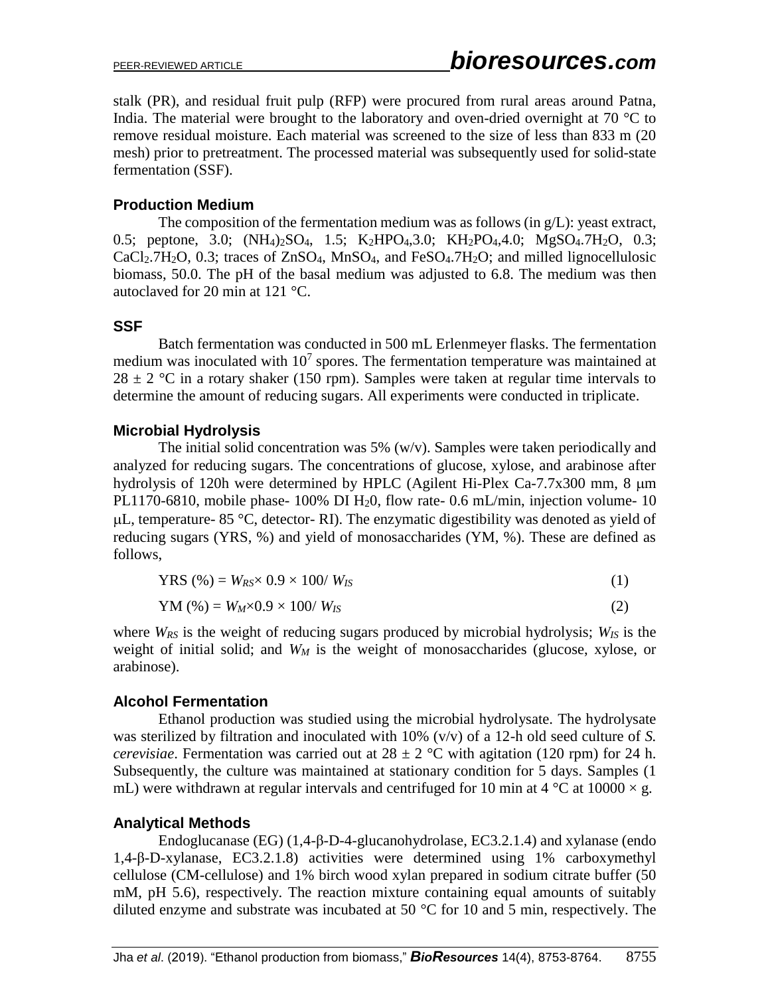stalk (PR), and residual fruit pulp (RFP) were procured from rural areas around Patna, India. The material were brought to the laboratory and oven-dried overnight at 70  $\degree$ C to remove residual moisture. Each material was screened to the size of less than 833 m (20 mesh) prior to pretreatment. The processed material was subsequently used for solid-state fermentation (SSF).

# **Production Medium**

The composition of the fermentation medium was as follows (in  $g/L$ ): yeast extract, 0.5; peptone, 3.0;  $(NH_4)_2SO_4$ , 1.5;  $K_2HPO_4$ , 3.0;  $KH_2PO_4$ , 4.0;  $MgSO_4$ . 7 $H_2O$ , 0.3;  $CaCl<sub>2</sub>·7H<sub>2</sub>O$ , 0.3; traces of  $ZnSO<sub>4</sub>$ , MnSO<sub>4</sub>, and FeSO<sub>4</sub>.7H<sub>2</sub>O; and milled lignocellulosic biomass, 50.0. The pH of the basal medium was adjusted to 6.8. The medium was then autoclaved for 20 min at 121 °C.

# **SSF**

Batch fermentation was conducted in 500 mL Erlenmeyer flasks. The fermentation medium was inoculated with  $10<sup>7</sup>$  spores. The fermentation temperature was maintained at  $28 \pm 2$  °C in a rotary shaker (150 rpm). Samples were taken at regular time intervals to determine the amount of reducing sugars. All experiments were conducted in triplicate.

# **Microbial Hydrolysis**

The initial solid concentration was 5%  $(w/v)$ . Samples were taken periodically and analyzed for reducing sugars. The concentrations of glucose, xylose, and arabinose after hydrolysis of 120h were determined by HPLC (Agilent Hi-Plex Ca-7.7x300 mm,  $8 \mu m$ ) PL1170-6810, mobile phase- 100% DI H20, flow rate- 0.6 mL/min, injection volume- 10  $\mu$ L, temperature- 85 °C, detector- RI). The enzymatic digestibility was denoted as yield of reducing sugars (YRS, %) and yield of monosaccharides (YM, %). These are defined as follows,

$$
YRS (\%) = W_{RS} \times 0.9 \times 100 / W_{IS}
$$
 (1)

$$
YM (%) = W_M \times 0.9 \times 100 / W_{IS}
$$
 (2)

where *WRS* is the weight of reducing sugars produced by microbial hydrolysis; *WIS* is the weight of initial solid; and *W<sup>M</sup>* is the weight of monosaccharides (glucose, xylose, or arabinose).

## **Alcohol Fermentation**

Ethanol production was studied using the microbial hydrolysate. The hydrolysate was sterilized by filtration and inoculated with 10% (v/v) of a 12-h old seed culture of *S. cerevisiae*. Fermentation was carried out at  $28 \pm 2$  °C with agitation (120 rpm) for 24 h. Subsequently, the culture was maintained at stationary condition for 5 days. Samples (1 mL) were withdrawn at regular intervals and centrifuged for 10 min at 4  $\degree$ C at 10000  $\times$  g.

## **Analytical Methods**

Endoglucanase (EG) (1,4-β-D-4-glucanohydrolase, EC3.2.1.4) and xylanase (endo 1,4-β-D-xylanase, EC3.2.1.8) activities were determined using 1% carboxymethyl cellulose (CM-cellulose) and 1% birch wood xylan prepared in sodium citrate buffer (50 mM, pH 5.6), respectively. The reaction mixture containing equal amounts of suitably diluted enzyme and substrate was incubated at 50 °C for 10 and 5 min, respectively. The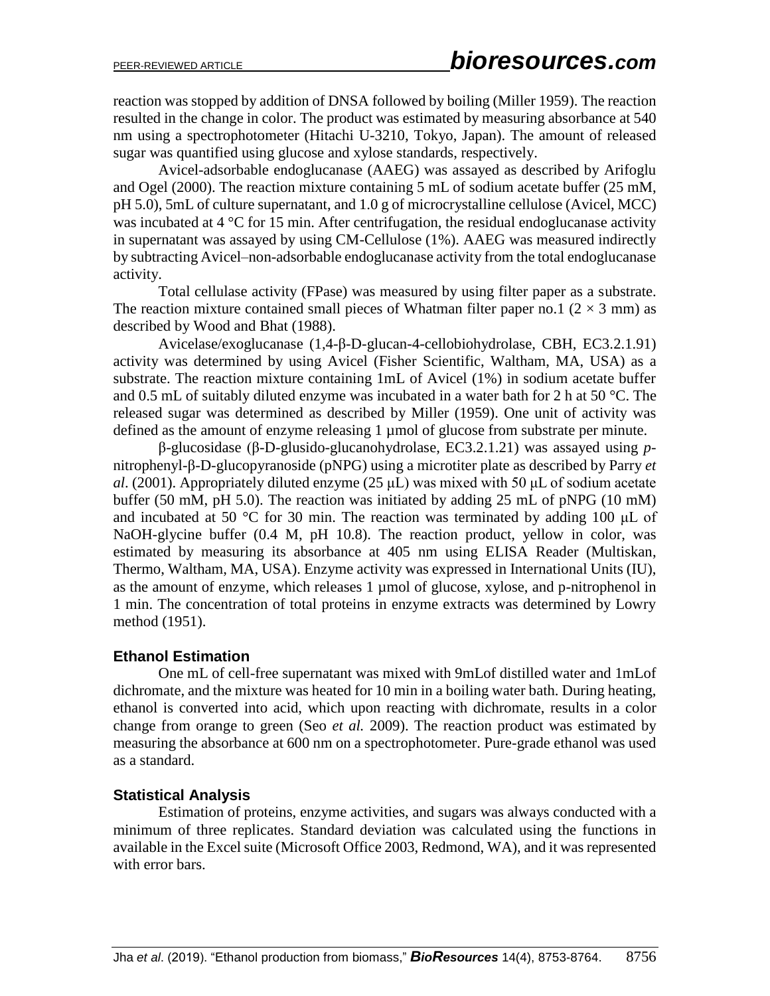reaction was stopped by addition of DNSA followed by boiling (Miller 1959). The reaction resulted in the change in color. The product was estimated by measuring absorbance at 540 nm using a spectrophotometer (Hitachi U-3210, Tokyo, Japan). The amount of released sugar was quantified using glucose and xylose standards, respectively.

Avicel-adsorbable endoglucanase (AAEG) was assayed as described by Arifoglu and Ogel (2000). The reaction mixture containing 5 mL of sodium acetate buffer (25 mM, pH 5.0), 5mL of culture supernatant, and 1.0 g of microcrystalline cellulose (Avicel, MCC) was incubated at 4 °C for 15 min. After centrifugation, the residual endoglucanase activity in supernatant was assayed by using CM-Cellulose (1%). AAEG was measured indirectly by subtracting Avicel–non-adsorbable endoglucanase activity from the total endoglucanase activity.

Total cellulase activity (FPase) was measured by using filter paper as a substrate. The reaction mixture contained small pieces of Whatman filter paper no.1 ( $2 \times 3$  mm) as described by Wood and Bhat (1988).

Avicelase/exoglucanase (1,4-β-D-glucan-4-cellobiohydrolase, CBH, EC3.2.1.91) activity was determined by using Avicel (Fisher Scientific, Waltham, MA, USA) as a substrate. The reaction mixture containing 1mL of Avicel (1%) in sodium acetate buffer and 0.5 mL of suitably diluted enzyme was incubated in a water bath for 2 h at 50 °C. The released sugar was determined as described by Miller (1959). One unit of activity was defined as the amount of enzyme releasing 1 µmol of glucose from substrate per minute.

β-glucosidase (β-D-glusido-glucanohydrolase, EC3.2.1.21) was assayed using *p*nitrophenyl-β-D-glucopyranoside (pNPG) using a microtiter plate as described by Parry *et al*. (2001). Appropriately diluted enzyme (25 μL) was mixed with 50 μL of sodium acetate buffer (50 mM, pH 5.0). The reaction was initiated by adding 25 mL of pNPG (10 mM) and incubated at 50 °C for 30 min. The reaction was terminated by adding 100 μL of NaOH-glycine buffer (0.4 M, pH 10.8). The reaction product, yellow in color, was estimated by measuring its absorbance at 405 nm using ELISA Reader (Multiskan, Thermo, Waltham, MA, USA). Enzyme activity was expressed in International Units (IU), as the amount of enzyme, which releases 1 µmol of glucose, xylose, and p-nitrophenol in 1 min. The concentration of total proteins in enzyme extracts was determined by Lowry method (1951).

## **Ethanol Estimation**

One mL of cell-free supernatant was mixed with 9mLof distilled water and 1mLof dichromate, and the mixture was heated for 10 min in a boiling water bath. During heating, ethanol is converted into acid, which upon reacting with dichromate, results in a color change from orange to green (Seo *et al.* 2009). The reaction product was estimated by measuring the absorbance at 600 nm on a spectrophotometer. Pure-grade ethanol was used as a standard.

#### **Statistical Analysis**

Estimation of proteins, enzyme activities, and sugars was always conducted with a minimum of three replicates. Standard deviation was calculated using the functions in available in the Excel suite (Microsoft Office 2003, Redmond, WA), and it was represented with error bars.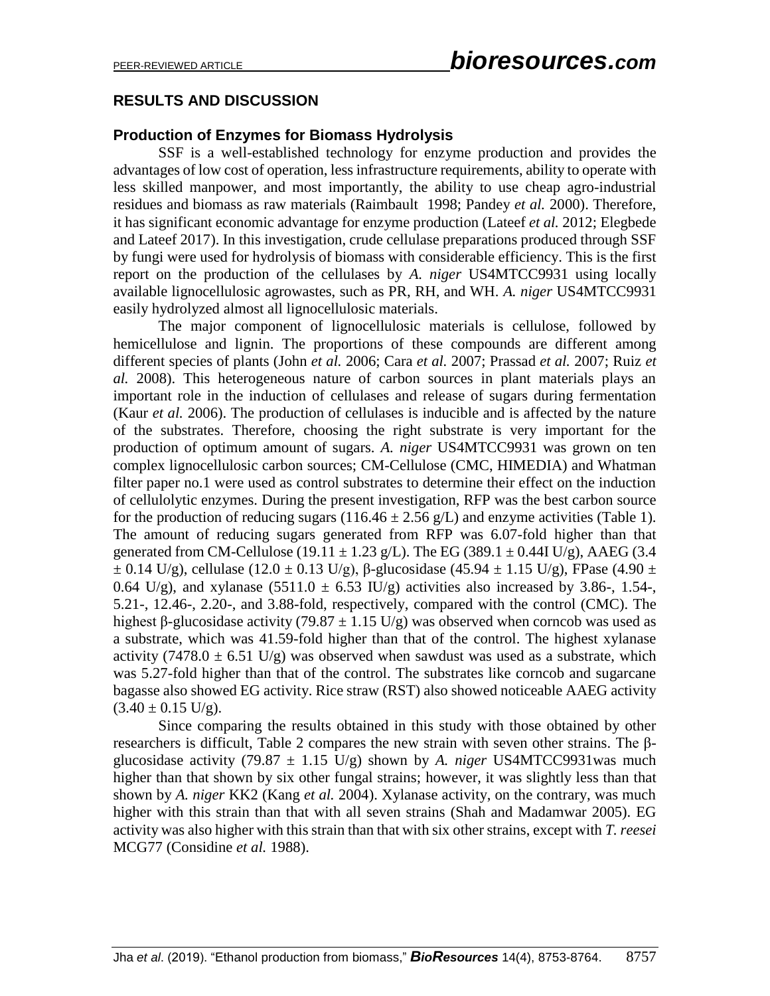## **RESULTS AND DISCUSSION**

#### **Production of Enzymes for Biomass Hydrolysis**

SSF is a well-established technology for enzyme production and provides the advantages of low cost of operation, less infrastructure requirements, ability to operate with less skilled manpower, and most importantly, the ability to use cheap agro-industrial residues and biomass as raw materials (Raimbault 1998; Pandey *et al.* 2000). Therefore, it has significant economic advantage for enzyme production (Lateef *et al.* 2012; Elegbede and Lateef 2017). In this investigation, crude cellulase preparations produced through SSF by fungi were used for hydrolysis of biomass with considerable efficiency. This is the first report on the production of the cellulases by *A. niger* US4MTCC9931 using locally available lignocellulosic agrowastes, such as PR, RH, and WH. *A. niger* US4MTCC9931 easily hydrolyzed almost all lignocellulosic materials.

The major component of lignocellulosic materials is cellulose, followed by hemicellulose and lignin. The proportions of these compounds are different among different species of plants (John *et al.* 2006; Cara *et al.* 2007; Prassad *et al.* 2007; Ruiz *et al.* 2008). This heterogeneous nature of carbon sources in plant materials plays an important role in the induction of cellulases and release of sugars during fermentation (Kaur *et al.* 2006). The production of cellulases is inducible and is affected by the nature of the substrates. Therefore, choosing the right substrate is very important for the production of optimum amount of sugars. *A. niger* US4MTCC9931 was grown on ten complex lignocellulosic carbon sources; CM-Cellulose (CMC, HIMEDIA) and Whatman filter paper no.1 were used as control substrates to determine their effect on the induction of cellulolytic enzymes. During the present investigation, RFP was the best carbon source for the production of reducing sugars (116.46  $\pm$  2.56 g/L) and enzyme activities (Table 1). The amount of reducing sugars generated from RFP was 6.07-fold higher than that generated from CM-Cellulose (19.11  $\pm$  1.23 g/L). The EG (389.1  $\pm$  0.44I U/g), AAEG (3.4  $\pm$  0.14 U/g), cellulase (12.0  $\pm$  0.13 U/g), β-glucosidase (45.94  $\pm$  1.15 U/g), FPase (4.90  $\pm$ 0.64 U/g), and xylanase (5511.0  $\pm$  6.53 IU/g) activities also increased by 3.86-, 1.54-, 5.21-, 12.46-, 2.20-, and 3.88-fold, respectively, compared with the control (CMC). The highest β-glucosidase activity (79.87  $\pm$  1.15 U/g) was observed when corncob was used as a substrate, which was 41.59-fold higher than that of the control. The highest xylanase activity (7478.0  $\pm$  6.51 U/g) was observed when sawdust was used as a substrate, which was 5.27-fold higher than that of the control. The substrates like corncob and sugarcane bagasse also showed EG activity. Rice straw (RST) also showed noticeable AAEG activity  $(3.40 \pm 0.15 \text{ U/g}).$ 

Since comparing the results obtained in this study with those obtained by other researchers is difficult, Table 2 compares the new strain with seven other strains. The βglucosidase activity (79.87  $\pm$  1.15 U/g) shown by *A. niger* US4MTCC9931was much higher than that shown by six other fungal strains; however, it was slightly less than that shown by *A. niger* KK2 (Kang *et al.* 2004). Xylanase activity, on the contrary, was much higher with this strain than that with all seven strains (Shah and Madamwar 2005). EG activity was also higher with this strain than that with six other strains, except with *T. reesei* MCG77 (Considine *et al.* 1988).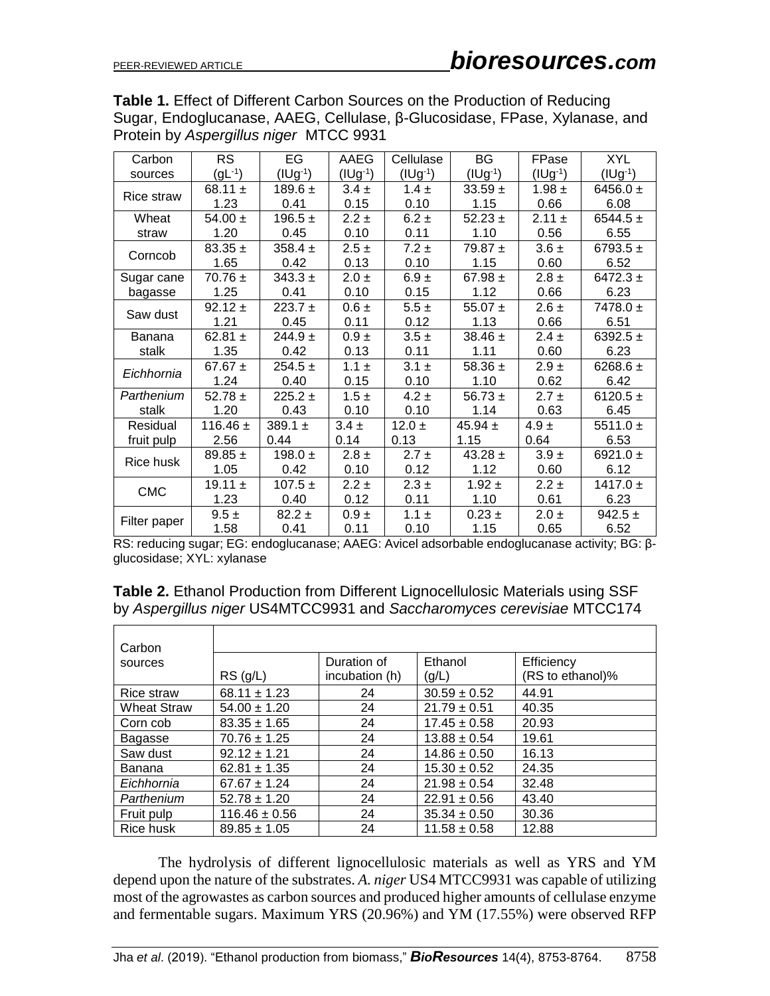**Table 1.** Effect of Different Carbon Sources on the Production of Reducing Sugar, Endoglucanase, AAEG, Cellulase, β-Glucosidase, FPase, Xylanase, and Protein by *Aspergillus niger* MTCC 9931

| Carbon       | <b>RS</b>    | EG           | AAEG         | Cellulase    | <b>BG</b>    | FPase      | <b>XYL</b>   |
|--------------|--------------|--------------|--------------|--------------|--------------|------------|--------------|
| sources      | $(gL^{-1})$  | $(1Ug^{-1})$ | $(IUg^{-1})$ | $(IUg^{-1})$ | $(IVg^{-1})$ | (IV)       | $(1Ug^{-1})$ |
| Rice straw   | 68.11 $\pm$  | $189.6 \pm$  | $3.4 \pm$    | $1.4 \pm$    | $33.59 +$    | $1.98 \pm$ | 6456.0 $\pm$ |
|              | 1.23         | 0.41         | 0.15         | 0.10         | 1.15         | 0.66       | 6.08         |
| Wheat        | $54.00 \pm$  | 196.5 $\pm$  | $2.2 \pm$    | $6.2 \pm$    | $52.23 \pm$  | $2.11 \pm$ | $6544.5 \pm$ |
| straw        | 1.20         | 0.45         | 0.10         | 0.11         | 1.10         | 0.56       | 6.55         |
| Corncob      | $83.35 \pm$  | $358.4 \pm$  | $2.5 \pm$    | $7.2 \pm$    | 79.87 $\pm$  | $3.6 \pm$  | 6793.5 $\pm$ |
|              | 1.65         | 0.42         | 0.13         | 0.10         | 1.15         | 0.60       | 6.52         |
| Sugar cane   | $70.76 \pm$  | $343.3 \pm$  | $2.0 \pm$    | $6.9 \pm$    | 67.98 $\pm$  | $2.8 \pm$  | 6472.3 $\pm$ |
| bagasse      | 1.25         | 0.41         | 0.10         | 0.15         | 1.12         | 0.66       | 6.23         |
| Saw dust     | $92.12 \pm$  | $223.7 \pm$  | $0.6 \pm$    | $5.5 \pm$    | 55.07 $\pm$  | $2.6 \pm$  | $7478.0 \pm$ |
|              | 1.21         | 0.45         | 0.11         | 0.12         | 1.13         | 0.66       | 6.51         |
| Banana       | 62.81 $\pm$  | $244.9 +$    | $0.9 \pm$    | $3.5 \pm$    | $38.46 \pm$  | $2.4 \pm$  | 6392.5 $\pm$ |
| stalk        | 1.35         | 0.42         | 0.13         | 0.11         | 1.11         | 0.60       | 6.23         |
| Eichhornia   | 67.67 $\pm$  | $254.5 \pm$  | $1.1 \pm$    | $3.1 \pm$    | 58.36 $\pm$  | $2.9 \pm$  | 6268.6 $\pm$ |
|              | 1.24         | 0.40         | 0.15         | 0.10         | 1.10         | 0.62       | 6.42         |
| Parthenium   | 52.78 $\pm$  | $225.2 \pm$  | $1.5 \pm$    | $4.2 \pm$    | 56.73 $\pm$  | $2.7 \pm$  | 6120.5 $\pm$ |
| stalk        | 1.20         | 0.43         | 0.10         | 0.10         | 1.14         | 0.63       | 6.45         |
| Residual     | 116.46 $\pm$ | 389.1 $\pm$  | $3.4 \pm$    | 12.0 $\pm$   | 45.94 $\pm$  | $4.9 \pm$  | 5511.0 $\pm$ |
| fruit pulp   | 2.56         | 0.44         | 0.14         | 0.13         | 1.15         | 0.64       | 6.53         |
| Rice husk    | $89.85 \pm$  | 198.0 $\pm$  | $2.8 \pm$    | $2.7 \pm$    | $43.28 \pm$  | $3.9 \pm$  | 6921.0 $\pm$ |
|              | 1.05         | 0.42         | 0.10         | 0.12         | 1.12         | 0.60       | 6.12         |
| <b>CMC</b>   | 19.11 $\pm$  | $107.5 \pm$  | $2.2 \pm$    | $2.3 \pm$    | $1.92 \pm$   | $2.2 \pm$  | 1417.0 $\pm$ |
|              | 1.23         | 0.40         | 0.12         | 0.11         | 1.10         | 0.61       | 6.23         |
|              | $9.5 \pm$    | $82.2 \pm$   | $0.9 \pm$    | $1.1 \pm$    | $0.23 \pm$   | $2.0 \pm$  | 942.5 $\pm$  |
| Filter paper | 1.58         | 0.41         | 0.11         | 0.10         | 1.15         | 0.65       | 6.52         |

RS: reducing sugar; EG: endoglucanase; AAEG: Avicel adsorbable endoglucanase activity; BG: βglucosidase; XYL: xylanase

**Table 2.** Ethanol Production from Different Lignocellulosic Materials using SSF by *Aspergillus niger* US4MTCC9931 and *Saccharomyces cerevisiae* MTCC174

| Carbon             |                   |                |                  |                  |
|--------------------|-------------------|----------------|------------------|------------------|
| sources            |                   | Duration of    | Ethanol          | Efficiency       |
|                    | RS(g/L)           | incubation (h) | (g/L)            | (RS to ethanol)% |
| Rice straw         | $68.11 \pm 1.23$  | 24             | $30.59 \pm 0.52$ | 44.91            |
| <b>Wheat Straw</b> | $54.00 \pm 1.20$  | 24             | $21.79 \pm 0.51$ | 40.35            |
| Corn cob           | $83.35 \pm 1.65$  | 24             | $17.45 \pm 0.58$ | 20.93            |
| Bagasse            | $70.76 \pm 1.25$  | 24             | $13.88 \pm 0.54$ | 19.61            |
| Saw dust           | $92.12 \pm 1.21$  | 24             | $14.86 \pm 0.50$ | 16.13            |
| Banana             | $62.81 \pm 1.35$  | 24             | $15.30 \pm 0.52$ | 24.35            |
| Eichhornia         | $67.67 \pm 1.24$  | 24             | $21.98 \pm 0.54$ | 32.48            |
| Parthenium         | $52.78 \pm 1.20$  | 24             | $22.91 \pm 0.56$ | 43.40            |
| Fruit pulp         | $116.46 \pm 0.56$ | 24             | $35.34 \pm 0.50$ | 30.36            |
| Rice husk          | $89.85 \pm 1.05$  | 24             | $11.58 \pm 0.58$ | 12.88            |

The hydrolysis of different lignocellulosic materials as well as YRS and YM depend upon the nature of the substrates. *A. niger* US4 MTCC9931 was capable of utilizing most of the agrowastes as carbon sources and produced higher amounts of cellulase enzyme and fermentable sugars. Maximum YRS (20.96%) and YM (17.55%) were observed RFP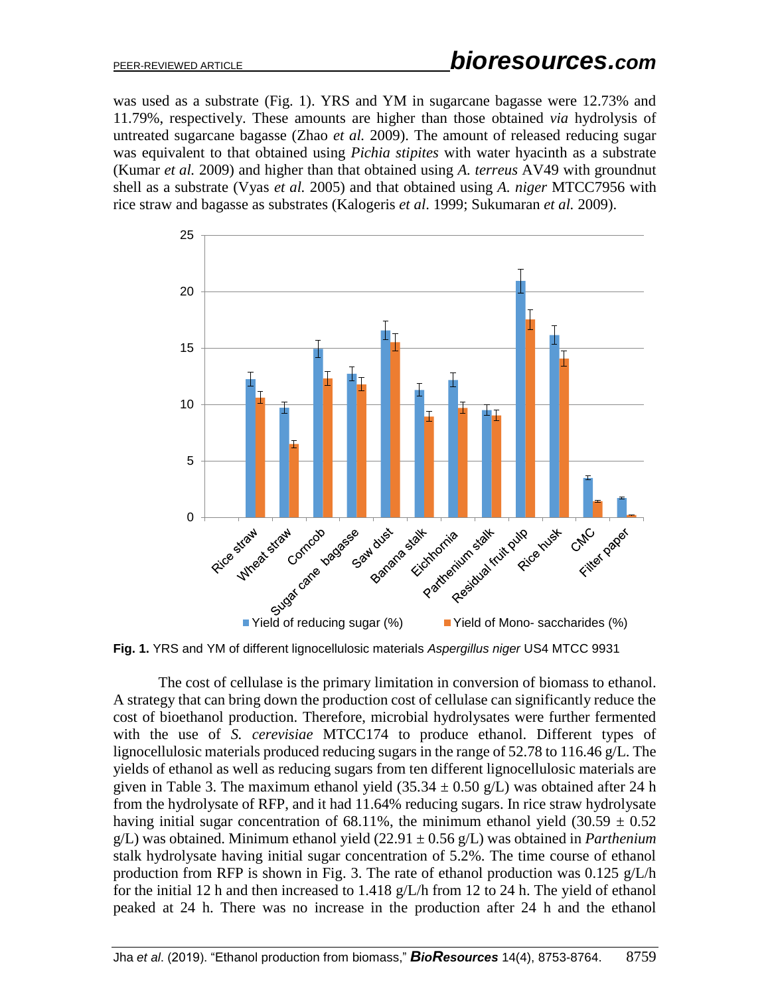was used as a substrate (Fig. 1). YRS and YM in sugarcane bagasse were 12.73% and 11.79%, respectively. These amounts are higher than those obtained *via* hydrolysis of untreated sugarcane bagasse (Zhao *et al.* 2009). The amount of released reducing sugar was equivalent to that obtained using *Pichia stipites* with water hyacinth as a substrate (Kumar *et al.* 2009) and higher than that obtained using *A. terreus* AV49 with groundnut shell as a substrate (Vyas *et al.* 2005) and that obtained using *A. niger* MTCC7956 with rice straw and bagasse as substrates (Kalogeris *et al*. 1999; Sukumaran *et al.* 2009).



**Fig. 1.** YRS and YM of different lignocellulosic materials *Aspergillus niger* US4 MTCC 9931

The cost of cellulase is the primary limitation in conversion of biomass to ethanol. A strategy that can bring down the production cost of cellulase can significantly reduce the cost of bioethanol production. Therefore, microbial hydrolysates were further fermented with the use of *S. cerevisiae* MTCC174 to produce ethanol. Different types of lignocellulosic materials produced reducing sugars in the range of 52.78 to 116.46 g/L. The yields of ethanol as well as reducing sugars from ten different lignocellulosic materials are given in Table 3. The maximum ethanol yield  $(35.34 \pm 0.50 \text{ g/L})$  was obtained after 24 h from the hydrolysate of RFP, and it had 11.64% reducing sugars. In rice straw hydrolysate having initial sugar concentration of 68.11%, the minimum ethanol yield  $(30.59 \pm 0.52)$ g/L) was obtained. Minimum ethanol yield (22.91 ± 0.56 g/L) was obtained in *Parthenium* stalk hydrolysate having initial sugar concentration of 5.2%. The time course of ethanol production from RFP is shown in Fig. 3. The rate of ethanol production was  $0.125$  g/L/h for the initial 12 h and then increased to 1.418 g/L/h from 12 to 24 h. The yield of ethanol peaked at 24 h. There was no increase in the production after 24 h and the ethanol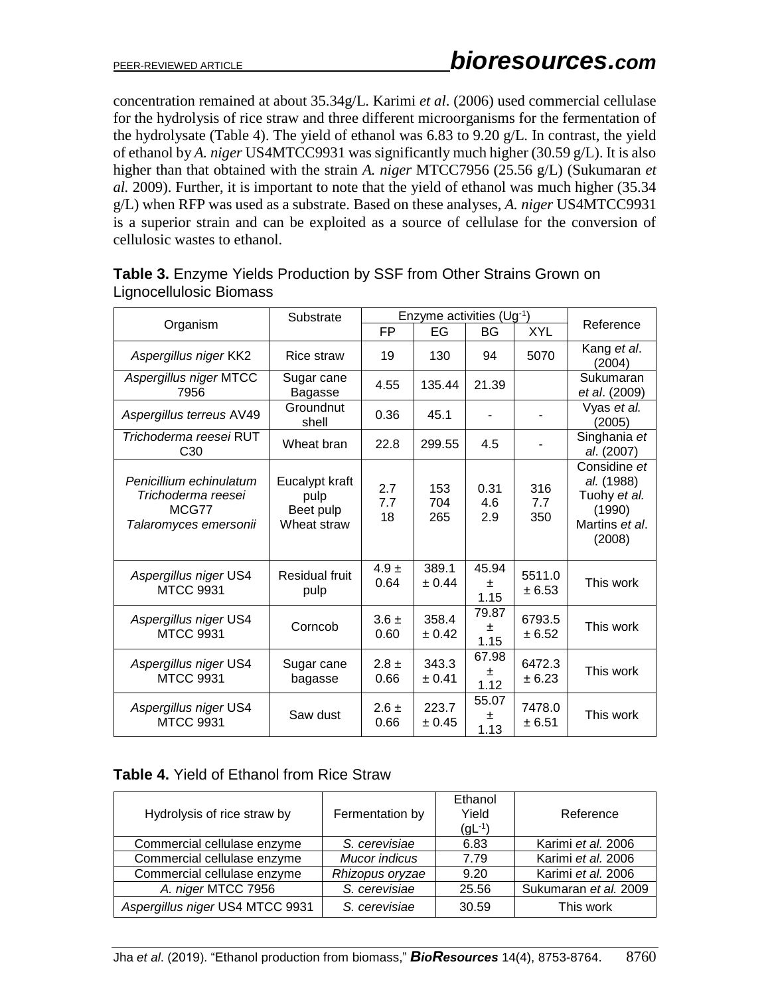concentration remained at about 35.34g/L. Karimi *et al*. (2006) used commercial cellulase for the hydrolysis of rice straw and three different microorganisms for the fermentation of the hydrolysate (Table 4). The yield of ethanol was 6.83 to 9.20 g/L. In contrast, the yield of ethanol by *A. niger* US4MTCC9931 was significantly much higher (30.59 g/L). It is also higher than that obtained with the strain *A. niger* MTCC7956 (25.56 g/L) (Sukumaran *et al.* 2009). Further, it is important to note that the yield of ethanol was much higher (35.34 g/L) when RFP was used as a substrate. Based on these analyses, *A. niger* US4MTCC9931 is a superior strain and can be exploited as a source of cellulase for the conversion of cellulosic wastes to ethanol.

|                                                                                 | Substrate                                          | Enzyme activities (Ug-1) |                   |                    |                   |                                                                                  |
|---------------------------------------------------------------------------------|----------------------------------------------------|--------------------------|-------------------|--------------------|-------------------|----------------------------------------------------------------------------------|
| Organism                                                                        |                                                    | FP                       | EG                | BG                 | <b>XYL</b>        | Reference                                                                        |
| Aspergillus niger KK2                                                           | Rice straw                                         | 19                       | 130               | 94                 | 5070              | Kang et al.<br>(2004)                                                            |
| Aspergillus niger MTCC<br>7956                                                  | Sugar cane<br>Bagasse                              | 4.55                     | 135.44            | 21.39              |                   | Sukumaran<br>et al. (2009)                                                       |
| Aspergillus terreus AV49                                                        | Groundnut<br>shell                                 | 0.36                     | 45.1              |                    |                   | Vyas et al.<br>(2005)                                                            |
| Trichoderma reesei RUT<br>C <sub>30</sub>                                       | Wheat bran                                         | 22.8                     | 299.55            | 4.5                |                   | Singhania et<br>al. (2007)                                                       |
| Penicillium echinulatum<br>Trichoderma reesei<br>MCG77<br>Talaromyces emersonii | Eucalypt kraft<br>pulp<br>Beet pulp<br>Wheat straw | 2.7<br>7.7<br>18         | 153<br>704<br>265 | 0.31<br>4.6<br>2.9 | 316<br>7.7<br>350 | Considine et<br>al. (1988)<br>Tuohy et al.<br>(1990)<br>Martins et al.<br>(2008) |
| Aspergillus niger US4<br><b>MTCC 9931</b>                                       | <b>Residual fruit</b><br>pulp                      | $4.9 \pm$<br>0.64        | 389.1<br>± 0.44   | 45.94<br>土<br>1.15 | 5511.0<br>± 6.53  | This work                                                                        |
| Aspergillus niger US4<br><b>MTCC 9931</b>                                       | Corncob                                            | $3.6 \pm$<br>0.60        | 358.4<br>± 0.42   | 79.87<br>±<br>1.15 | 6793.5<br>± 6.52  | This work                                                                        |
| Aspergillus niger US4<br><b>MTCC 9931</b>                                       | Sugar cane<br>bagasse                              | $2.8 \pm$<br>0.66        | 343.3<br>± 0.41   | 67.98<br>±<br>1.12 | 6472.3<br>± 6.23  | This work                                                                        |
| Aspergillus niger US4<br><b>MTCC 9931</b>                                       | Saw dust                                           | $2.6 \pm$<br>0.66        | 223.7<br>± 0.45   | 55.07<br>ᆂ<br>1.13 | 7478.0<br>± 6.51  | This work                                                                        |

# **Table 3.** Enzyme Yields Production by SSF from Other Strains Grown on Lignocellulosic Biomass

## **Table 4.** Yield of Ethanol from Rice Straw

| Hydrolysis of rice straw by     | Fermentation by | Ethanol<br>Yield<br>$(gL^{-1})$ | Reference             |
|---------------------------------|-----------------|---------------------------------|-----------------------|
| Commercial cellulase enzyme     | S. cerevisiae   | 6.83                            | Karimi et al. 2006    |
| Commercial cellulase enzyme     | Mucor indicus   | 7.79                            | Karimi et al. 2006    |
| Commercial cellulase enzyme     | Rhizopus oryzae | 9.20                            | Karimi et al. 2006    |
| A. niger MTCC 7956              | S. cerevisiae   | 25.56                           | Sukumaran et al. 2009 |
| Aspergillus niger US4 MTCC 9931 | S. cerevisiae   | 30.59                           | This work             |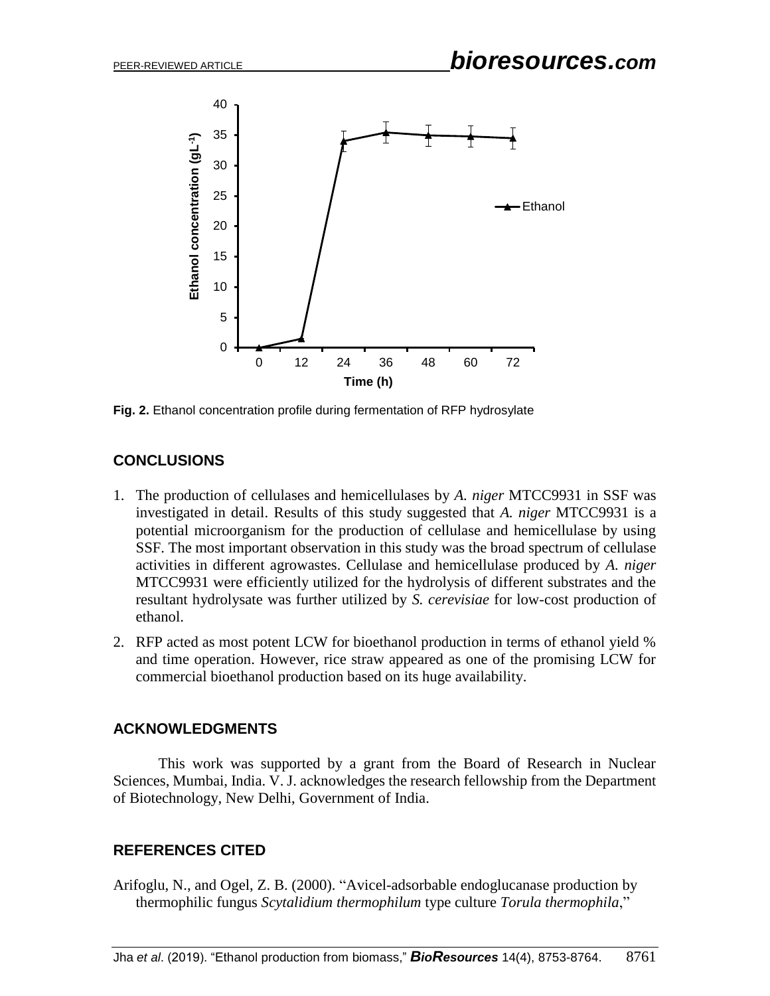

**Fig. 2.** Ethanol concentration profile during fermentation of RFP hydrosylate

# **CONCLUSIONS**

- 1. The production of cellulases and hemicellulases by *A. niger* MTCC9931 in SSF was investigated in detail. Results of this study suggested that *A. niger* MTCC9931 is a potential microorganism for the production of cellulase and hemicellulase by using SSF. The most important observation in this study was the broad spectrum of cellulase activities in different agrowastes. Cellulase and hemicellulase produced by *A. niger* MTCC9931 were efficiently utilized for the hydrolysis of different substrates and the resultant hydrolysate was further utilized by *S. cerevisiae* for low-cost production of ethanol.
- 2. RFP acted as most potent LCW for bioethanol production in terms of ethanol yield % and time operation. However, rice straw appeared as one of the promising LCW for commercial bioethanol production based on its huge availability.

# **ACKNOWLEDGMENTS**

This work was supported by a grant from the Board of Research in Nuclear Sciences, Mumbai, India. V. J. acknowledges the research fellowship from the Department of Biotechnology, New Delhi, Government of India.

# **REFERENCES CITED**

Arifoglu, N., and Ogel, Z. B. (2000). "Avicel-adsorbable endoglucanase production by thermophilic fungus *Scytalidium thermophilum* type culture *Torula thermophila*,"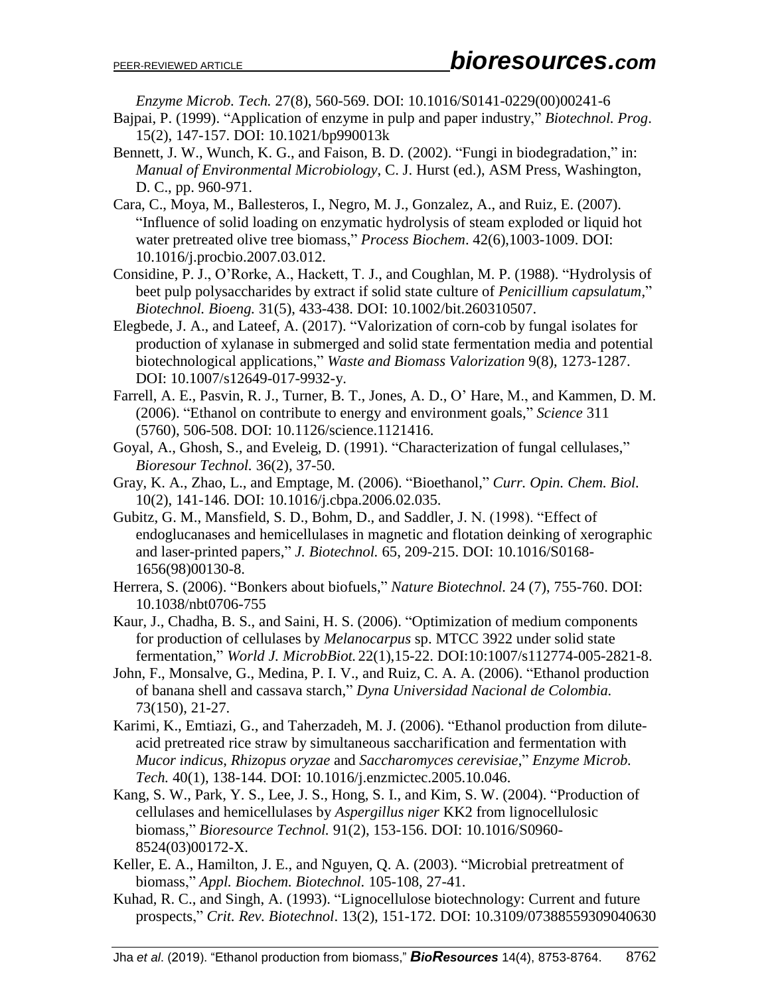*Enzyme Microb. Tech.* 27(8), 560-569. DOI: 10.1016/S0141-0229(00)00241-6

- Bajpai, P. (1999). "Application of enzyme in pulp and paper industry," *Biotechnol. Prog*. 15(2), 147-157. DOI: 10.1021/bp990013k
- Bennett, J. W., Wunch, K. G., and Faison, B. D. (2002). "Fungi in biodegradation," in: *Manual of Environmental Microbiology*, C. J. Hurst (ed.), ASM Press, Washington, D. C., pp. 960-971.
- Cara, C., Moya, M., Ballesteros, I., Negro, M. J., Gonzalez, A., and Ruiz, E. (2007). "Influence of solid loading on enzymatic hydrolysis of steam exploded or liquid hot water pretreated olive tree biomass," *Process Biochem*. 42(6),1003-1009. DOI: 10.1016/j.procbio.2007.03.012.
- Considine, P. J., O'Rorke, A., Hackett, T. J., and Coughlan, M. P. (1988). "Hydrolysis of beet pulp polysaccharides by extract if solid state culture of *Penicillium capsulatum*," *Biotechnol. Bioeng.* 31(5), 433-438. DOI: 10.1002/bit.260310507.
- Elegbede, J. A., and Lateef, A. (2017). "Valorization of corn-cob by fungal isolates for production of xylanase in submerged and solid state fermentation media and potential biotechnological applications," *Waste and Biomass Valorization* 9(8), 1273-1287. DOI: 10.1007/s12649-017-9932-y.
- Farrell, A. E., Pasvin, R. J., Turner, B. T., Jones, A. D., O' Hare, M., and Kammen, D. M. (2006). "Ethanol on contribute to energy and environment goals," *Science* 311 (5760), 506-508. DOI: 10.1126/science.1121416.
- Goyal, A., Ghosh, S., and Eveleig, D. (1991). "Characterization of fungal cellulases," *Bioresour Technol.* 36(2), 37-50.
- Gray, K. A., Zhao, L., and Emptage, M. (2006). "Bioethanol," *Curr. Opin. Chem. Biol.* 10(2), 141-146. DOI: 10.1016/j.cbpa.2006.02.035.
- Gubitz, G. M., Mansfield, S. D., Bohm, D., and Saddler, J. N. (1998). "Effect of endoglucanases and hemicellulases in magnetic and flotation deinking of xerographic and laser-printed papers," *J. Biotechnol.* 65, 209-215. DOI: 10.1016/S0168- 1656(98)00130-8.
- Herrera, S. (2006). "Bonkers about biofuels," *Nature Biotechnol.* 24 (7), 755-760. DOI: 10.1038/nbt0706-755
- Kaur, J., Chadha, B. S., and Saini, H. S. (2006). "Optimization of medium components for production of cellulases by *Melanocarpus* sp. MTCC 3922 under solid state fermentation," *World J. MicrobBiot.* 22(1),15-22. DOI:10:1007/s112774-005-2821-8.
- John, F., Monsalve, G., Medina, P. I. V., and Ruiz, C. A. A. (2006). "Ethanol production of banana shell and cassava starch," *Dyna Universidad Nacional de Colombia.* 73(150), 21-27.
- Karimi, K., Emtiazi, G., and Taherzadeh, M. J. (2006). "Ethanol production from diluteacid pretreated rice straw by simultaneous saccharification and fermentation with *Mucor indicus*, *Rhizopus oryzae* and *Saccharomyces cerevisiae*," *Enzyme Microb. Tech.* 40(1), 138-144. DOI: 10.1016/j.enzmictec.2005.10.046.
- Kang, S. W., Park, Y. S., Lee, J. S., Hong, S. I., and Kim, S. W. (2004). "Production of cellulases and hemicellulases by *Aspergillus niger* KK2 from lignocellulosic biomass," *Bioresource Technol.* 91(2), 153-156. DOI: 10.1016/S0960- 8524(03)00172-X.
- Keller, E. A., Hamilton, J. E., and Nguyen, Q. A. (2003). "Microbial pretreatment of biomass," *Appl. Biochem. Biotechnol.* 105-108, 27-41.
- Kuhad, R. C., and Singh, A. (1993). "Lignocellulose biotechnology: Current and future prospects," *Crit. Rev. Biotechnol*. 13(2), 151-172. DOI: 10.3109/07388559309040630

Jha *et al*. (2019). "Ethanol production from biomass," *BioResources* 14(4), 8753-8764. 8762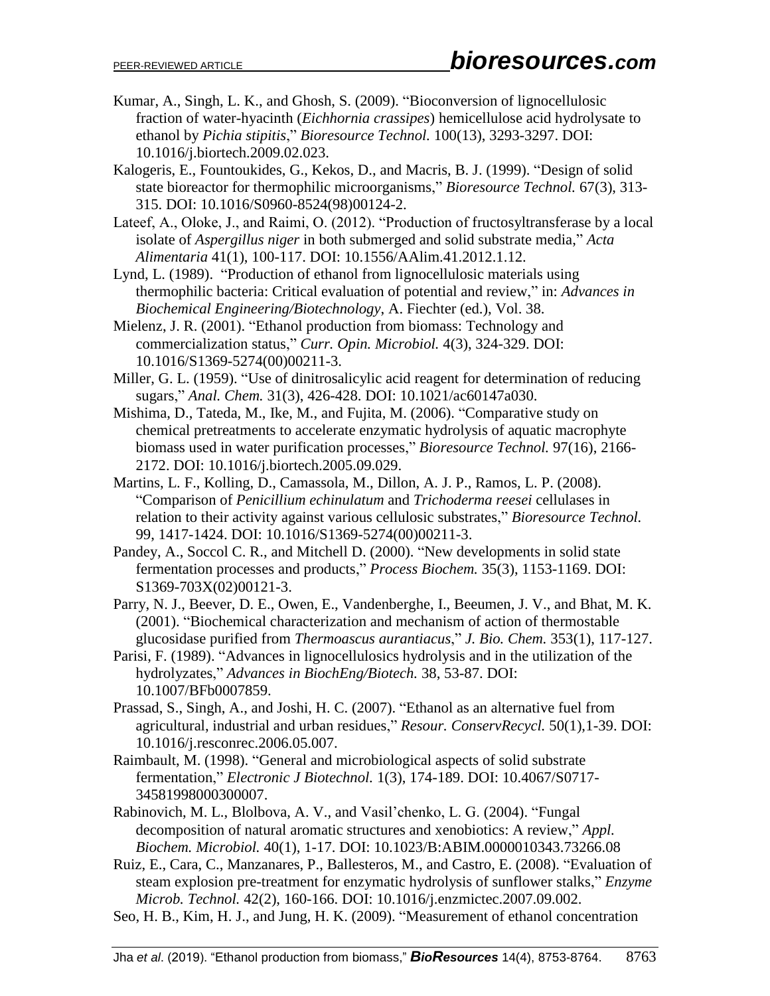- Kumar, A., Singh, L. K., and Ghosh, S. (2009). "Bioconversion of lignocellulosic fraction of water-hyacinth (*Eichhornia crassipes*) hemicellulose acid hydrolysate to ethanol by *Pichia stipitis*," *Bioresource Technol.* 100(13), 3293-3297. DOI: 10.1016/j.biortech.2009.02.023.
- Kalogeris, E., Fountoukides, G., Kekos, D., and Macris, B. J. (1999). "Design of solid state bioreactor for thermophilic microorganisms," *Bioresource Technol.* 67(3), 313- 315. DOI: 10.1016/S0960-8524(98)00124-2.
- Lateef, A., Oloke, J., and Raimi, O. (2012). "Production of fructosyltransferase by a local isolate of *Aspergillus niger* in both submerged and solid substrate media," *Acta Alimentaria* 41(1), 100-117. DOI: 10.1556/AAlim.41.2012.1.12.
- Lynd, L. (1989). "Production of ethanol from lignocellulosic materials using thermophilic bacteria: Critical evaluation of potential and review," in: *Advances in Biochemical Engineering/Biotechnology*, A. Fiechter (ed.), Vol. 38.
- Mielenz, J. R. (2001). "Ethanol production from biomass: Technology and commercialization status," *Curr. Opin. Microbiol.* 4(3), 324-329. DOI: 10.1016/S1369-5274(00)00211-3.
- Miller, G. L. (1959). "Use of dinitrosalicylic acid reagent for determination of reducing sugars," *Anal. Chem.* 31(3), 426-428. DOI: 10.1021/ac60147a030.
- Mishima, D., Tateda, M., Ike, M., and Fujita, M. (2006). "Comparative study on chemical pretreatments to accelerate enzymatic hydrolysis of aquatic macrophyte biomass used in water purification processes," *Bioresource Technol.* 97(16), 2166- 2172. DOI: 10.1016/j.biortech.2005.09.029.
- Martins, L. F., Kolling, D., Camassola, M., Dillon, A. J. P., Ramos, L. P. (2008). "Comparison of *Penicillium echinulatum* and *Trichoderma reesei* cellulases in relation to their activity against various cellulosic substrates," *Bioresource Technol.* 99, 1417-1424. DOI: 10.1016/S1369-5274(00)00211-3.
- Pandey, A., Soccol C. R., and Mitchell D. (2000). "New developments in solid state fermentation processes and products," *Process Biochem.* 35(3), 1153-1169. DOI: S1369-703X(02)00121-3.
- Parry, N. J., Beever, D. E., Owen, E., Vandenberghe, I., Beeumen, J. V., and Bhat, M. K. (2001). "Biochemical characterization and mechanism of action of thermostable glucosidase purified from *Thermoascus aurantiacus*," *J. Bio. Chem.* 353(1), 117-127.
- Parisi, F. (1989). "Advances in lignocellulosics hydrolysis and in the utilization of the hydrolyzates," *Advances in BiochEng/Biotech.* 38, 53-87. DOI: 10.1007/BFb0007859.
- Prassad, S., Singh, A., and Joshi, H. C. (2007). "Ethanol as an alternative fuel from agricultural, industrial and urban residues," *Resour. ConservRecycl.* 50(1),1-39. DOI: 10.1016/j.resconrec.2006.05.007.
- Raimbault, M. (1998). "General and microbiological aspects of solid substrate fermentation," *Electronic J Biotechnol.* 1(3), 174-189. DOI: 10.4067/S0717- 34581998000300007.
- Rabinovich, M. L., Blolbova, A. V., and Vasil'chenko, L. G. (2004). "Fungal decomposition of natural aromatic structures and xenobiotics: A review," *Appl. Biochem. Microbiol.* 40(1), 1-17. DOI: 10.1023/B:ABIM.0000010343.73266.08
- Ruiz, E., Cara, C., Manzanares, P., Ballesteros, M., and Castro, E. (2008). "Evaluation of steam explosion pre-treatment for enzymatic hydrolysis of sunflower stalks," *Enzyme Microb. Technol.* 42(2), 160-166. DOI: 10.1016/j.enzmictec.2007.09.002.
- Seo, H. B., Kim, H. J., and Jung, H. K. (2009). "Measurement of ethanol concentration